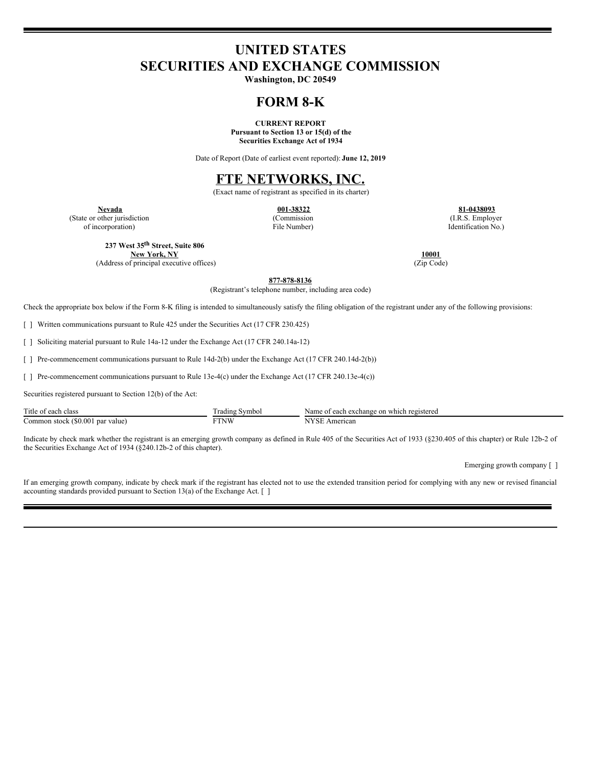# **UNITED STATES SECURITIES AND EXCHANGE COMMISSION**

**Washington, DC 20549**

## **FORM 8-K**

**CURRENT REPORT Pursuant to Section 13 or 15(d) of the Securities Exchange Act of 1934**

Date of Report (Date of earliest event reported): **June 12, 2019**

## **FTE NETWORKS, INC.**

(Exact name of registrant as specified in its charter)

(State or other jurisdiction of incorporation)

(Commission File Number)

**Nevada 001-38322 81-0438093** (I.R.S. Employer Identification No.)

**237 West 35 th Street, Suite 806 New York, NY 10001**

(Address of principal executive offices)

**877-878-8136**

(Registrant's telephone number, including area code)

Check the appropriate box below if the Form 8-K filing is intended to simultaneously satisfy the filing obligation of the registrant under any of the following provisions:

[ ] Written communications pursuant to Rule 425 under the Securities Act (17 CFR 230.425)

[ ] Soliciting material pursuant to Rule 14a-12 under the Exchange Act (17 CFR 240.14a-12)

[ ] Pre-commencement communications pursuant to Rule 14d-2(b) under the Exchange Act (17 CFR 240.14d-2(b))

[ ] Pre-commencement communications pursuant to Rule 13e-4(c) under the Exchange Act (17 CFR 240.13e-4(c))

Securities registered pursuant to Section 12(b) of the Act:

| Title of each class              | Symbol<br>radıng | Name of each exchange on which registered |
|----------------------------------|------------------|-------------------------------------------|
| Common stock (\$0.001 par value) | <b>TNW</b>       | TITAT<br>American                         |

Indicate by check mark whether the registrant is an emerging growth company as defined in Rule 405 of the Securities Act of 1933 (§230.405 of this chapter) or Rule 12b-2 of the Securities Exchange Act of 1934 (§240.12b-2 of this chapter).

Emerging growth company [ ]

If an emerging growth company, indicate by check mark if the registrant has elected not to use the extended transition period for complying with any new or revised financial accounting standards provided pursuant to Section 13(a) of the Exchange Act. [ ]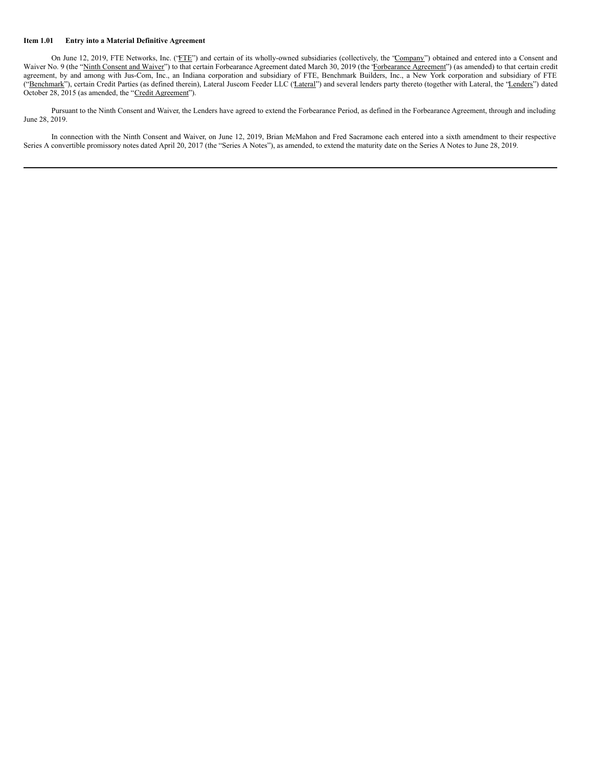#### **Item 1.01 Entry into a Material Definitive Agreement**

On June 12, 2019, FTE Networks, Inc. ('FTE'') and certain of its wholly-owned subsidiaries (collectively, the 'Company'') obtained and entered into a Consent and Waiver No. 9 (the "Ninth Consent and Waiver") to that certain Forbearance Agreement dated March 30, 2019 (the 'Forbearance Agreement') (as amended) to that certain credit agreement, by and among with Jus-Com, Inc., an Indiana corporation and subsidiary of FTE, Benchmark Builders, Inc., a New York corporation and subsidiary of FTE ("Benchmark"), certain Credit Parties (as defined therein), Lateral Juscom Feeder LLC ("Lateral") and several lenders party thereto (together with Lateral, the "Lenders") dated October 28, 2015 (as amended, the "Credit Agreement").

Pursuant to the Ninth Consent and Waiver, the Lenders have agreed to extend the Forbearance Period, as defined in the Forbearance Agreement, through and including June 28, 2019.

In connection with the Ninth Consent and Waiver, on June 12, 2019, Brian McMahon and Fred Sacramone each entered into a sixth amendment to their respective Series A convertible promissory notes dated April 20, 2017 (the "Series A Notes"), as amended, to extend the maturity date on the Series A Notes to June 28, 2019.